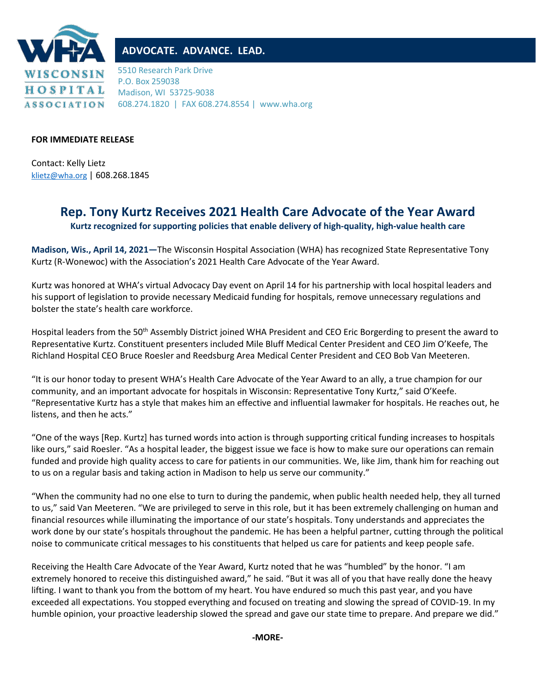

## **ADVOCATE. ADVANCE. LEAD.**

5510 Research Park Drive P.O. Box 259038 Madison, WI 53725-9038 608.274.1820 | FAX 608.274.8554 | www.wha.org

## **FOR IMMEDIATE RELEASE**

Contact: Kelly Lietz [klietz@wha.org](mailto:klietz@wha.org) | 608.268.1845

## **Rep. Tony Kurtz Receives 2021 Health Care Advocate of the Year Award**

**Kurtz recognized for supporting policies that enable delivery of high-quality, high-value health care**

**Madison, Wis., April 14, 2021—**The Wisconsin Hospital Association (WHA) has recognized State Representative Tony Kurtz (R-Wonewoc) with the Association's 2021 Health Care Advocate of the Year Award.

Kurtz was honored at WHA's virtual Advocacy Day event on April 14 for his partnership with local hospital leaders and his support of legislation to provide necessary Medicaid funding for hospitals, remove unnecessary regulations and bolster the state's health care workforce.

Hospital leaders from the 50<sup>th</sup> Assembly District joined WHA President and CEO Eric Borgerding to present the award to Representative Kurtz. Constituent presenters included Mile Bluff Medical Center President and CEO Jim O'Keefe, The Richland Hospital CEO Bruce Roesler and Reedsburg Area Medical Center President and CEO Bob Van Meeteren.

"It is our honor today to present WHA's Health Care Advocate of the Year Award to an ally, a true champion for our community, and an important advocate for hospitals in Wisconsin: Representative Tony Kurtz," said O'Keefe. "Representative Kurtz has a style that makes him an effective and influential lawmaker for hospitals. He reaches out, he listens, and then he acts."

"One of the ways [Rep. Kurtz] has turned words into action is through supporting critical funding increases to hospitals like ours," said Roesler. "As a hospital leader, the biggest issue we face is how to make sure our operations can remain funded and provide high quality access to care for patients in our communities. We, like Jim, thank him for reaching out to us on a regular basis and taking action in Madison to help us serve our community."

"When the community had no one else to turn to during the pandemic, when public health needed help, they all turned to us," said Van Meeteren. "We are privileged to serve in this role, but it has been extremely challenging on human and financial resources while illuminating the importance of our state's hospitals. Tony understands and appreciates the work done by our state's hospitals throughout the pandemic. He has been a helpful partner, cutting through the political noise to communicate critical messages to his constituents that helped us care for patients and keep people safe.

Receiving the Health Care Advocate of the Year Award, Kurtz noted that he was "humbled" by the honor. "I am extremely honored to receive this distinguished award," he said. "But it was all of you that have really done the heavy lifting. I want to thank you from the bottom of my heart. You have endured so much this past year, and you have exceeded all expectations. You stopped everything and focused on treating and slowing the spread of COVID-19. In my humble opinion, your proactive leadership slowed the spread and gave our state time to prepare. And prepare we did."